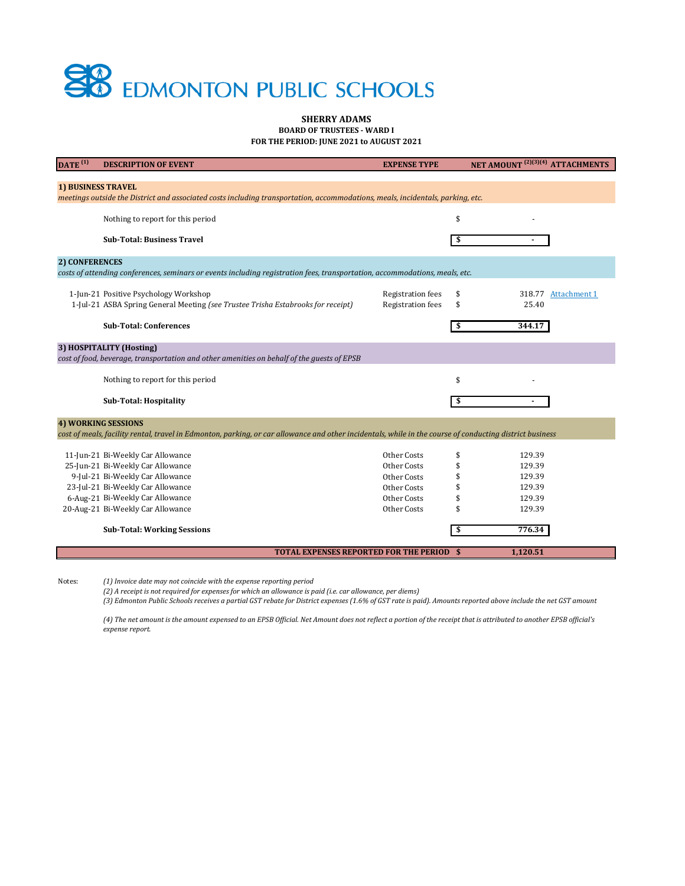*(4) The net amount is the amount expensed to an EPSB Official. Net Amount does not reflect a portion of the receipt that is attributed to another EPSB official's expense report.* 

| $\overline{\text{DATE}}^{(1)}$                                                                                                                                                         | <b>DESCRIPTION OF EVENT</b>                                                                                               | <b>EXPENSE TYPE</b>                                  | NET AMOUNT <sup>(2)(3)(4)</sup> ATTACHMENTS        |  |  |  |  |
|----------------------------------------------------------------------------------------------------------------------------------------------------------------------------------------|---------------------------------------------------------------------------------------------------------------------------|------------------------------------------------------|----------------------------------------------------|--|--|--|--|
| <b>1) BUSINESS TRAVEL</b><br>meetings outside the District and associated costs including transportation, accommodations, meals, incidentals, parking, etc.                            |                                                                                                                           |                                                      |                                                    |  |  |  |  |
|                                                                                                                                                                                        | Nothing to report for this period                                                                                         |                                                      | \$                                                 |  |  |  |  |
|                                                                                                                                                                                        | <b>Sub-Total: Business Travel</b>                                                                                         |                                                      | \$                                                 |  |  |  |  |
| 2) CONFERENCES                                                                                                                                                                         |                                                                                                                           |                                                      |                                                    |  |  |  |  |
| costs of attending conferences, seminars or events including registration fees, transportation, accommodations, meals, etc.                                                            |                                                                                                                           |                                                      |                                                    |  |  |  |  |
|                                                                                                                                                                                        | 1-Jun-21 Positive Psychology Workshop<br>1-Jul-21 ASBA Spring General Meeting (see Trustee Trisha Estabrooks for receipt) | <b>Registration fees</b><br><b>Registration fees</b> | \$<br>318.77<br><b>Attachment 1</b><br>25.40<br>\$ |  |  |  |  |
|                                                                                                                                                                                        | <b>Sub-Total: Conferences</b>                                                                                             |                                                      | 344.17                                             |  |  |  |  |
| 3) HOSPITALITY (Hosting)<br>cost of food, beverage, transportation and other amenities on behalf of the guests of EPSB                                                                 |                                                                                                                           |                                                      |                                                    |  |  |  |  |
|                                                                                                                                                                                        | Nothing to report for this period                                                                                         |                                                      | \$                                                 |  |  |  |  |
|                                                                                                                                                                                        | <b>Sub-Total: Hospitality</b>                                                                                             |                                                      | \$                                                 |  |  |  |  |
| <b>4) WORKING SESSIONS</b><br>cost of meals, facility rental, travel in Edmonton, parking, or car allowance and other incidentals, while in the course of conducting district business |                                                                                                                           |                                                      |                                                    |  |  |  |  |
|                                                                                                                                                                                        | 11-Jun-21 Bi-Weekly Car Allowance                                                                                         | Other Costs                                          | \$<br>129.39                                       |  |  |  |  |
|                                                                                                                                                                                        | 25-Jun-21 Bi-Weekly Car Allowance                                                                                         | Other Costs                                          | \$<br>129.39                                       |  |  |  |  |
|                                                                                                                                                                                        | 9-Jul-21 Bi-Weekly Car Allowance                                                                                          | <b>Other Costs</b>                                   | 129.39                                             |  |  |  |  |
|                                                                                                                                                                                        | 23-Jul-21 Bi-Weekly Car Allowance                                                                                         | Other Costs                                          | 129.39                                             |  |  |  |  |
|                                                                                                                                                                                        | 6-Aug-21 Bi-Weekly Car Allowance                                                                                          | Other Costs                                          | 129.39                                             |  |  |  |  |
|                                                                                                                                                                                        | 20-Aug-21 Bi-Weekly Car Allowance                                                                                         | Other Costs                                          | 129.39                                             |  |  |  |  |
|                                                                                                                                                                                        | <b>Sub-Total: Working Sessions</b>                                                                                        |                                                      | 776.34<br>\$                                       |  |  |  |  |
|                                                                                                                                                                                        | <b>TOTAL EXPENSES REPORTED FOR THE PERIOD \$</b>                                                                          |                                                      | 1,120.51                                           |  |  |  |  |



## **SHERRY ADAMS BOARD OF TRUSTEES - WARD I FOR THE PERIOD: JUNE 2021 to AUGUST 2021**

Notes: *(1) Invoice date may not coincide with the expense reporting period*

*(3) Edmonton Public Schools receives a partial GST rebate for District expenses (1.6% of GST rate is paid). Amounts reported above include the net GST amount*

*(2) A receipt is not required for expenses for which an allowance is paid (i.e. car allowance, per diems)*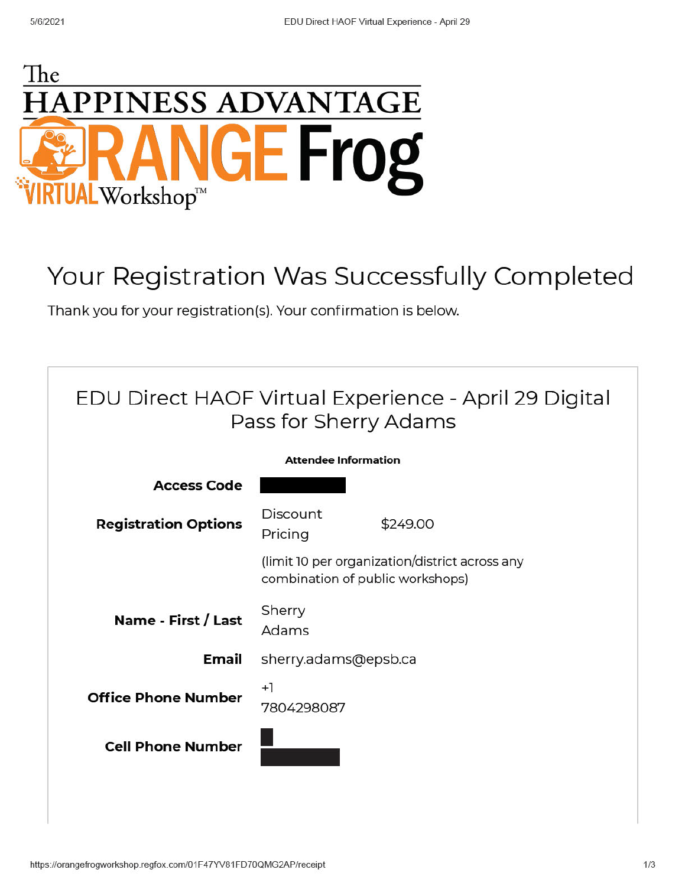

## Your Registration Was Successfully Completed

Thank you for your registration(s). Your confirmation is below.

| EDU Direct HAOF Virtual Experience - April 29 Digital<br>Pass for Sherry Adams |                                                                                    |          |  |  |  |  |
|--------------------------------------------------------------------------------|------------------------------------------------------------------------------------|----------|--|--|--|--|
| <b>Attendee Information</b>                                                    |                                                                                    |          |  |  |  |  |
| <b>Access Code</b>                                                             |                                                                                    |          |  |  |  |  |
| <b>Registration Options</b>                                                    | <b>Discount</b><br>Pricing                                                         | \$249.00 |  |  |  |  |
|                                                                                | (limit 10 per organization/district across any<br>combination of public workshops) |          |  |  |  |  |
| Name - First / Last                                                            | Sherry<br>Adams                                                                    |          |  |  |  |  |
| Email                                                                          | sherry.adams@epsb.ca                                                               |          |  |  |  |  |
| <b>Office Phone Number</b>                                                     | $+1$<br>7804298087                                                                 |          |  |  |  |  |
| <b>Cell Phone Number</b>                                                       |                                                                                    |          |  |  |  |  |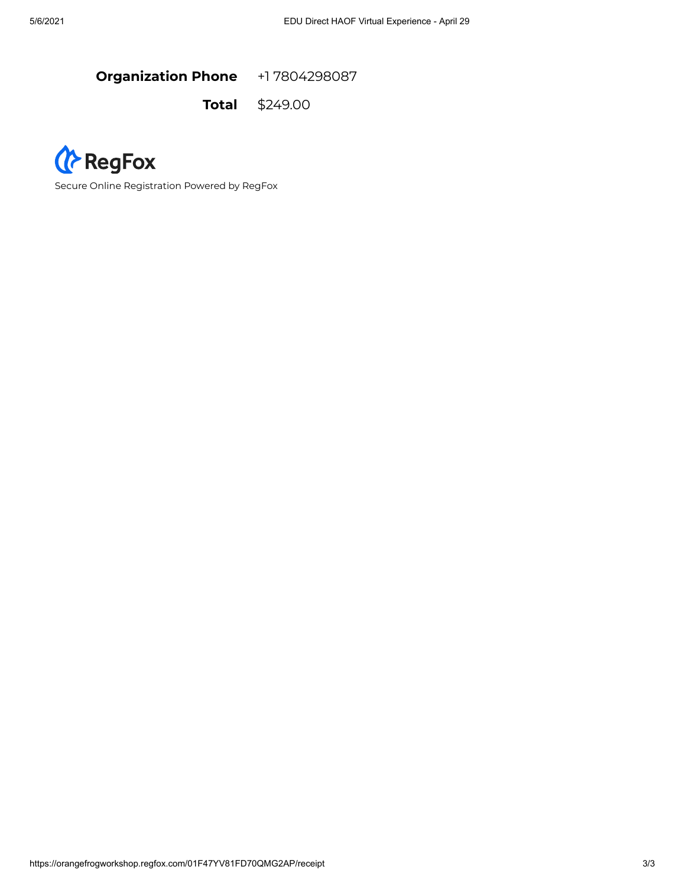**Organization Phone** +1 7804298087

**Total** \$249.00



Secure Online Registration Powered by RegFox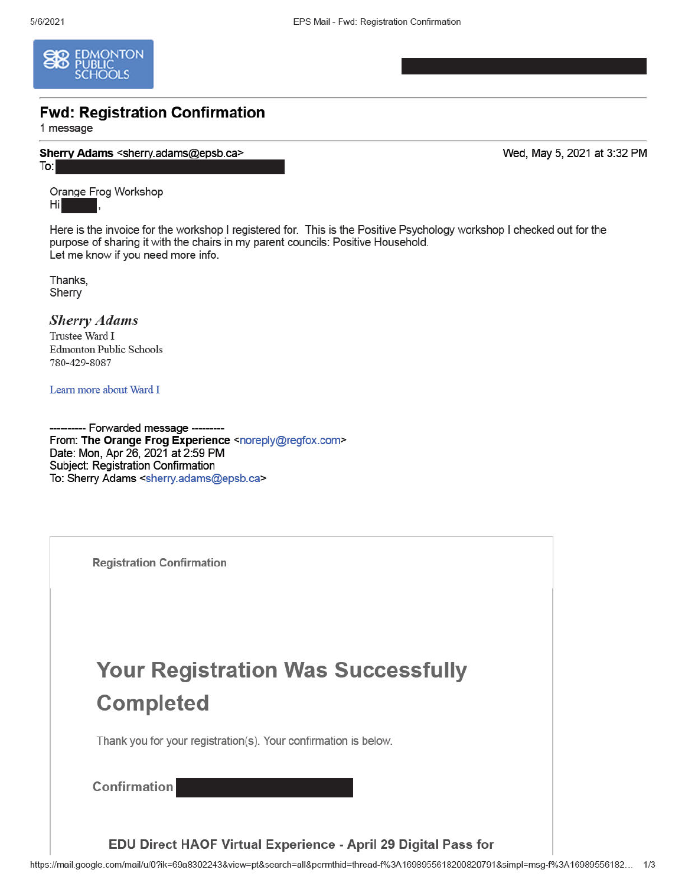

## **Fwd: Registration Confirmation**

1 message

Sherry Adams <sherry.adams@epsb.ca> To:

Wed, May 5, 2021 at 3:32 PM

Orange Frog Workshop Hi

Here is the invoice for the workshop I registered for. This is the Positive Psychology workshop I checked out for the purpose of sharing it with the chairs in my parent councils: Positive Household. Let me know if you need more info.

Thanks, Sherry

**Sherry Adams** Trustee Ward I **Edmonton Public Schools** 780-429-8087

Learn more about Ward I

--- Forwarded message ---From: The Orange Frog Experience <noreply@regfox.com> Date: Mon, Apr 26, 2021 at 2:59 PM Subject: Registration Confirmation To: Sherry Adams <sherry.adams@epsb.ca>

**Registration Confirmation Your Registration Was Successfully Completed** Thank you for your registration(s). Your confirmation is below. Confirmation

EDU Direct HAOF Virtual Experience - April 29 Digital Pass for